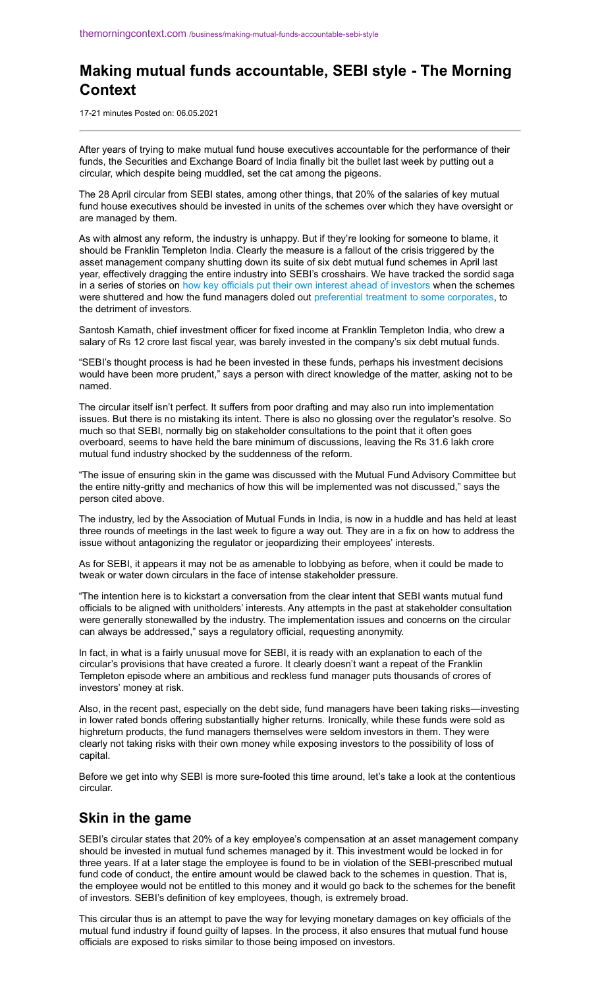### **Making mutual funds accountable, SEBI style - The Morning Context**

17-21 minutes Posted on: 06.05.2021

After years of trying to make mutual fund house executives accountable for the performance of their funds, the Securities and Exchange Board of India finally bit the bullet last week by putting out a circular, which despite being muddled, set the cat among the pigeons.

The 28 April circular from SEBI states, among other things, that 20% of the salaries of key mutual fund house executives should be invested in units of the schemes over which they have oversight or are managed by them.

As with almost any reform, the industry is unhappy. But if they're looking for someone to blame, it should be Franklin Templeton India. Clearly the measure is a fallout of the crisis triggered by the asset management company shutting down its suite of six debt mutual fund schemes in April last year, effectively dragging the entire industry into SEBI's crosshairs. We have tracked the sordid saga in a series of stories on [how key officials put their own interest ahead of investors](https://themorningcontext.com/business/franklin-templeton-top-brass-put-self-interest-first) when the schemes were shuttered and how the fund managers doled out [preferential treatment to some corporates,](https://themorningcontext.com/business/franklin-templeton-gave-some-companies-a-lot-of-leeway) to the detriment of investors.

Santosh Kamath, chief investment officer for fixed income at Franklin Templeton India, who drew a salary of Rs 12 crore last fiscal year, was barely invested in the company's six debt mutual funds.

"SEBI's thought process is had he been invested in these funds, perhaps his investment decisions would have been more prudent," says a person with direct knowledge of the matter, asking not to be named.

The circular itself isn't perfect. It suffers from poor drafting and may also run into implementation issues. But there is no mistaking its intent. There is also no glossing over the regulator's resolve. So much so that SEBI, normally big on stakeholder consultations to the point that it often goes overboard, seems to have held the bare minimum of discussions, leaving the Rs 31.6 lakh crore mutual fund industry shocked by the suddenness of the reform.

"The issue of ensuring skin in the game was discussed with the Mutual Fund Advisory Committee but the entire nitty-gritty and mechanics of how this will be implemented was not discussed," says the person cited above.

The industry, led by the Association of Mutual Funds in India, is now in a huddle and has held at least three rounds of meetings in the last week to figure a way out. They are in a fix on how to address the issue without antagonizing the regulator or jeopardizing their employees' interests.

As for SEBI, it appears it may not be as amenable to lobbying as before, when it could be made to tweak or water down circulars in the face of intense stakeholder pressure.

"The intention here is to kickstart a conversation from the clear intent that SEBI wants mutual fund officials to be aligned with unitholders' interests. Any attempts in the past at stakeholder consultation were generally stonewalled by the industry. The implementation issues and concerns on the circular can always be addressed," says a regulatory official, requesting anonymity.

In fact, in what is a fairly unusual move for SEBI, it is ready with an explanation to each of the circular's provisions that have created a furore. It clearly doesn't want a repeat of the Franklin Templeton episode where an ambitious and reckless fund manager puts thousands of crores of investors' money at risk.

Also, in the recent past, especially on the debt side, fund managers have been taking risks—investing in lower rated bonds offering substantially higher returns. Ironically, while these funds were sold as highreturn products, the fund managers themselves were seldom investors in them. They were clearly not taking risks with their own money while exposing investors to the possibility of loss of capital.

Before we get into why SEBI is more sure-footed this time around, let's take a look at the contentious circular.

#### **Skin in the game**

SEBI's circular states that 20% of a key employee's compensation at an asset management company should be invested in mutual fund schemes managed by it. This investment would be locked in for three years. If at a later stage the employee is found to be in violation of the SEBI-prescribed mutual fund code of conduct, the entire amount would be clawed back to the schemes in question. That is, the employee would not be entitled to this money and it would go back to the schemes for the benefit of investors. SEBI's definition of key employees, though, is extremely broad.

This circular thus is an attempt to pave the way for levying monetary damages on key officials of the mutual fund industry if found guilty of lapses. In the process, it also ensures that mutual fund house officials are exposed to risks similar to those being imposed on investors.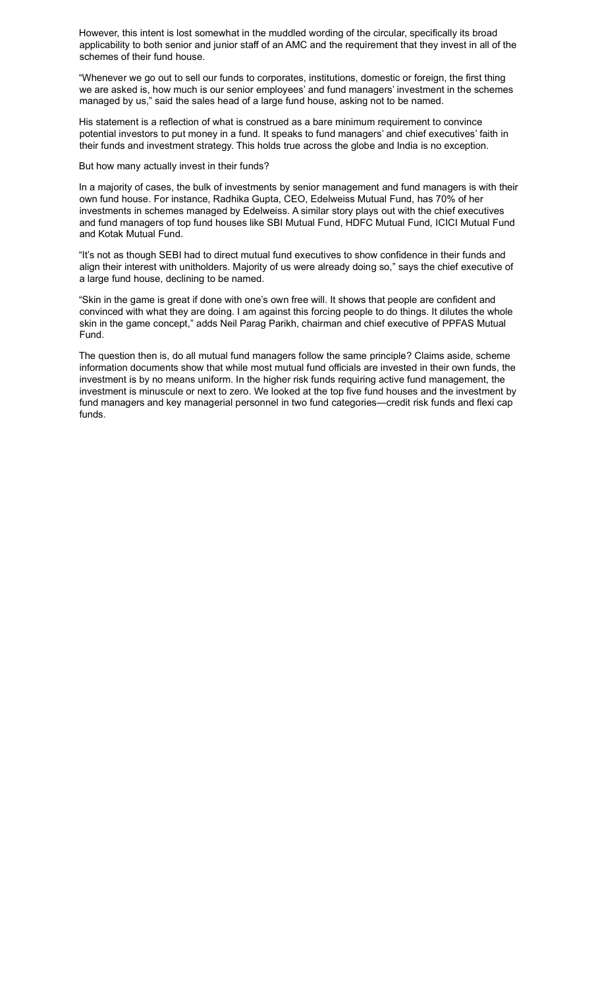However, this intent is lost somewhat in the muddled wording of the circular, specifically its broad applicability to both senior and junior staff of an AMC and the requirement that they invest in all of the schemes of their fund house.

"Whenever we go out to sell our funds to corporates, institutions, domestic or foreign, the first thing we are asked is, how much is our senior employees' and fund managers' investment in the schemes managed by us," said the sales head of a large fund house, asking not to be named.

His statement is a reflection of what is construed as a bare minimum requirement to convince potential investors to put money in a fund. It speaks to fund managers' and chief executives' faith in their funds and investment strategy. This holds true across the globe and India is no exception.

But how many actually invest in their funds?

In a majority of cases, the bulk of investments by senior management and fund managers is with their own fund house. For instance, Radhika Gupta, CEO, Edelweiss Mutual Fund, has 70% of her investments in schemes managed by Edelweiss. A similar story plays out with the chief executives and fund managers of top fund houses like SBI Mutual Fund, HDFC Mutual Fund, ICICI Mutual Fund and Kotak Mutual Fund.

"It's not as though SEBI had to direct mutual fund executives to show confidence in their funds and align their interest with unitholders. Majority of us were already doing so," says the chief executive of a large fund house, declining to be named.

"Skin in the game is great if done with one's own free will. It shows that people are confident and convinced with what they are doing. I am against this forcing people to do things. It dilutes the whole skin in the game concept," adds Neil Parag Parikh, chairman and chief executive of PPFAS Mutual Fund.

The question then is, do all mutual fund managers follow the same principle? Claims aside, scheme information documents show that while most mutual fund officials are invested in their own funds, the investment is by no means uniform. In the higher risk funds requiring active fund management, the investment is minuscule or next to zero. We looked at the top five fund houses and the investment by fund managers and key managerial personnel in two fund categories—credit risk funds and flexi cap funds.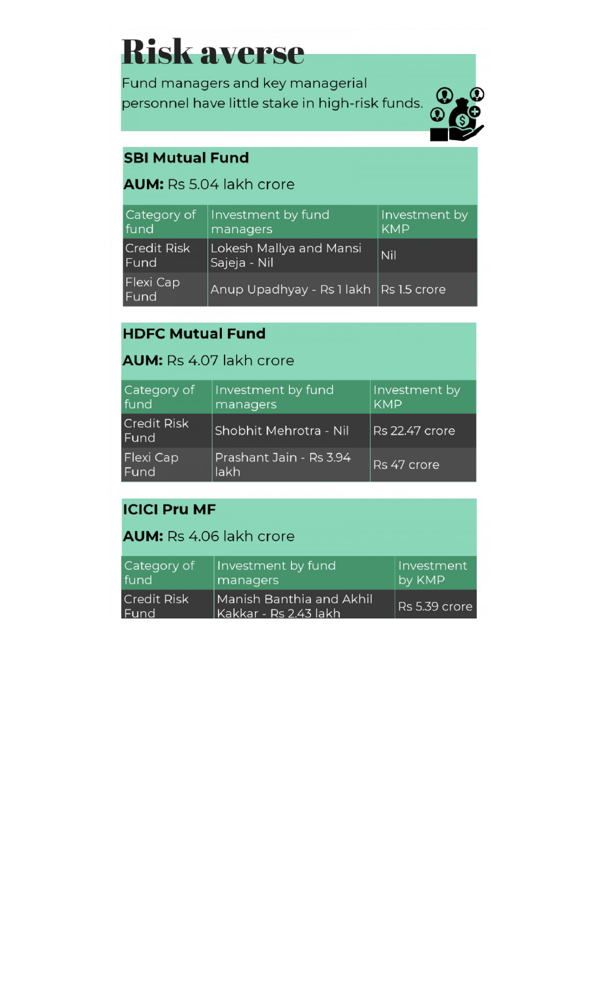# **Risk averse**

Fund managers and key managerial personnel have little stake in high-risk funds.



## **SBI Mutual Fund**

## **AUM:** Rs 5.04 lakh crore

| Category of<br>fund        | Investment by fund<br>managers          | Investment by<br><b>KMP</b> |
|----------------------------|-----------------------------------------|-----------------------------|
| <b>Credit Risk</b><br>Fund | Lokesh Mallya and Mansi<br>Sajeja - Nil | Nil                         |
| Flexi Cap<br><b>Fund</b>   | Anup Upadhyay - Rs 1 lakh Rs 1.5 crore  |                             |

## **HDFC Mutual Fund**

#### **AUM: Rs 4.07 lakh crore**

| Category of<br>fund        | Investment by fund<br>managers  | Investment by<br><b>KMP</b> |
|----------------------------|---------------------------------|-----------------------------|
| <b>Credit Risk</b><br>Fund | Shobhit Mehrotra - Nil          | Rs 22.47 crore              |
| <b>Flexi Cap</b><br>Fund   | Prashant Jain - Rs 3.94<br>lakh | Rs 47 crore                 |

## **ICICI Pru MF**

### **AUM:** Rs 4.06 lakh crore

| Category of                | Investment by fund                                | Investment    |
|----------------------------|---------------------------------------------------|---------------|
| fund                       | managers                                          | by KMP        |
| <b>Credit Risk</b><br>Fund | Manish Banthia and Akhil<br>Kakkar - Rs 2.43 lakh | Rs 5.39 crore |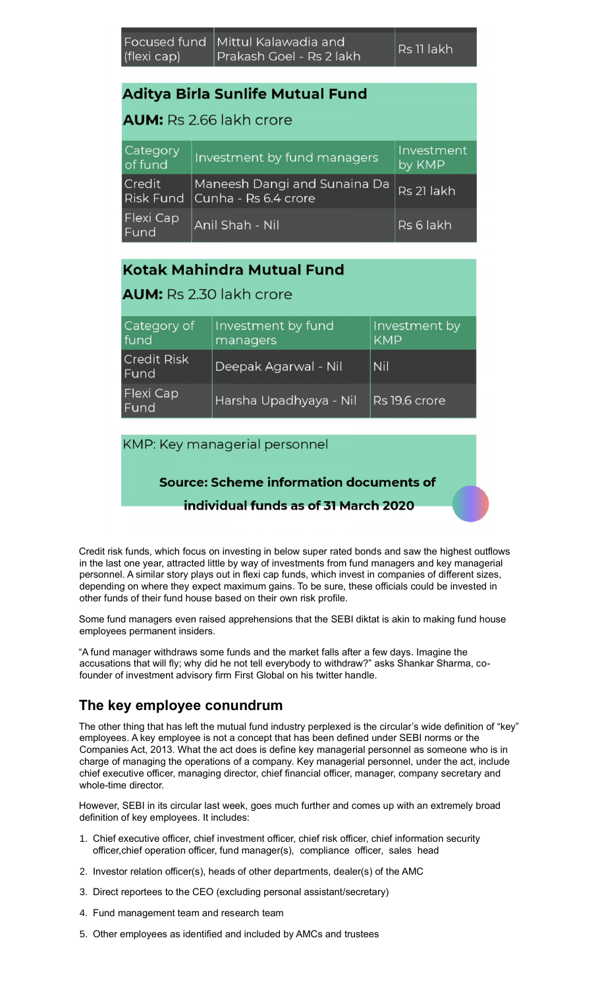#### **Aditya Birla Sunlife Mutual Fund**

#### **AUM:** Rs 2.66 lakh crore

| Category<br>of fund      | Investment by fund managers                                            | Investment<br>by KMP |
|--------------------------|------------------------------------------------------------------------|----------------------|
| Credit                   | $\vert$ Maneesh Dangi and Sunaina Da<br>Risk Fund Cunha - Rs 6.4 crore | Rs 21 lakh           |
| Flexi Cap<br><b>Fund</b> | Anil Shah - Nil                                                        | Rs 6 lakh            |

#### **Kotak Mahindra Mutual Fund**

#### **AUM:** Rs 2.30 lakh crore

| Category of<br>fund        | Investment by fund<br>managers | Investment by<br><b>KMP</b> |
|----------------------------|--------------------------------|-----------------------------|
| <b>Credit Risk</b><br>Fund | Deepak Agarwal - Nil           | Nil                         |
| Flexi Cap<br>Fund          | Harsha Upadhyaya - Nil         | Rs 19.6 crore               |

#### KMP: Key managerial personnel

#### **Source: Scheme information documents of**

#### individual funds as of 31 March 2020

Credit risk funds, which focus on investing in below super rated bonds and saw the highest outflows in the last one year, attracted little by way of investments from fund managers and key managerial personnel. A similar story plays out in flexi cap funds, which invest in companies of different sizes, depending on where they expect maximum gains. To be sure, these officials could be invested in other funds of their fund house based on their own risk profile.

Some fund managers even raised apprehensions that the SEBI diktat is akin to making fund house employees permanent insiders.

"A fund manager withdraws some funds and the market falls after a few days. Imagine the accusations that will fly; why did he not tell everybody to withdraw?" asks Shankar Sharma, cofounder of investment advisory firm First Global on his twitter handle.

### **The key employee conundrum**

The other thing that has left the mutual fund industry perplexed is the circular's wide definition of "key" employees. A key employee is not a concept that has been defined under SEBI norms or the Companies Act, 2013. What the act does is define key managerial personnel as someone who is in charge of managing the operations of a company. Key managerial personnel, under the act, include chief executive officer, managing director, chief financial officer, manager, company secretary and whole-time director.

However, SEBI in its circular last week, goes much further and comes up with an extremely broad definition of key employees. It includes:

- 1. Chief executive officer, chief investment officer, chief risk officer, chief information security officer,chief operation officer, fund manager(s), compliance officer, sales head
- 2. Investor relation officer(s), heads of other departments, dealer(s) of the AMC
- 3. Direct reportees to the CEO (excluding personal assistant/secretary)
- 4. Fund management team and research team
- 5. Other employees as identified and included by AMCs and trustees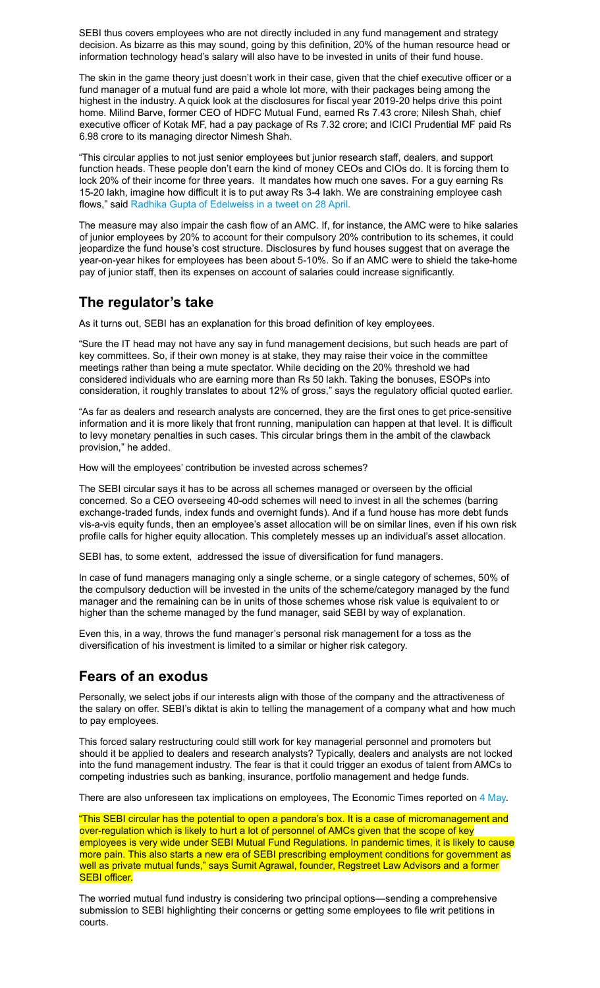SEBI thus covers employees who are not directly included in any fund management and strategy decision. As bizarre as this may sound, going by this definition, 20% of the human resource head or information technology head's salary will also have to be invested in units of their fund house.

The skin in the game theory just doesn't work in their case, given that the chief executive officer or a fund manager of a mutual fund are paid a whole lot more, with their packages being among the highest in the industry. A quick look at the disclosures for fiscal year 2019-20 helps drive this point home. Milind Barve, former CEO of HDFC Mutual Fund, earned Rs 7.43 crore; Nilesh Shah, chief executive officer of Kotak MF, had a pay package of Rs 7.32 crore; and ICICI Prudential MF paid Rs 6.98 crore to its managing director Nimesh Shah.

"This circular applies to not just senior employees but junior research staff, dealers, and support function heads. These people don't earn the kind of money CEOs and CIOs do. It is forcing them to lock 20% of their income for three years. It mandates how much one saves. For a guy earning Rs 15-20 lakh, imagine how difficult it is to put away Rs 3-4 lakh. We are constraining employee cash flows," said [Radhika Gupta of Edelweiss in a tweet on 28 April.](https://mobile.twitter.com/iRadhikaGupta/status/1387433870623055880)

The measure may also impair the cash flow of an AMC. If, for instance, the AMC were to hike salaries of junior employees by 20% to account for their compulsory 20% contribution to its schemes, it could jeopardize the fund house's cost structure. Disclosures by fund houses suggest that on average the year-on-year hikes for employees has been about 5-10%. So if an AMC were to shield the take-home pay of junior staff, then its expenses on account of salaries could increase significantly.

#### **The regulator's take**

As it turns out, SEBI has an explanation for this broad definition of key employees.

"Sure the IT head may not have any say in fund management decisions, but such heads are part of key committees. So, if their own money is at stake, they may raise their voice in the committee meetings rather than being a mute spectator. While deciding on the 20% threshold we had considered individuals who are earning more than Rs 50 lakh. Taking the bonuses, ESOPs into consideration, it roughly translates to about 12% of gross," says the regulatory official quoted earlier.

"As far as dealers and research analysts are concerned, they are the first ones to get price-sensitive information and it is more likely that front running, manipulation can happen at that level. It is difficult to levy monetary penalties in such cases. This circular brings them in the ambit of the clawback provision," he added.

How will the employees' contribution be invested across schemes?

The SEBI circular says it has to be across all schemes managed or overseen by the official concerned. So a CEO overseeing 40-odd schemes will need to invest in all the schemes (barring exchange-traded funds, index funds and overnight funds). And if a fund house has more debt funds vis-a-vis equity funds, then an employee's asset allocation will be on similar lines, even if his own risk profile calls for higher equity allocation. This completely messes up an individual's asset allocation.

SEBI has, to some extent, addressed the issue of diversification for fund managers.

In case of fund managers managing only a single scheme, or a single category of schemes, 50% of the compulsory deduction will be invested in the units of the scheme/category managed by the fund manager and the remaining can be in units of those schemes whose risk value is equivalent to or higher than the scheme managed by the fund manager, said SEBI by way of explanation.

Even this, in a way, throws the fund manager's personal risk management for a toss as the diversification of his investment is limited to a similar or higher risk category.

#### **Fears of an exodus**

Personally, we select jobs if our interests align with those of the company and the attractiveness of the salary on offer. SEBI's diktat is akin to telling the management of a company what and how much to pay employees.

This forced salary restructuring could still work for key managerial personnel and promoters but should it be applied to dealers and research analysts? Typically, dealers and analysts are not locked into the fund management industry. The fear is that it could trigger an exodus of talent from AMCs to competing industries such as banking, insurance, portfolio management and hedge funds.

There are also unforeseen tax implications on employees, The Economic Times reported on [4 May.](https://economictimes.indiatimes.com/mf/mf-news/skin-in-the-game-order-knots-mf-employees-income-tax/articleshow/82378736.cms?from=mdr)

"This SEBI circular has the potential to open a pandora's box. It is a case of micromanagement and over-regulation which is likely to hurt a lot of personnel of AMCs given that the scope of key employees is very wide under SEBI Mutual Fund Regulations. In pandemic times, it is likely to cause more pain. This also starts a new era of SEBI prescribing employment conditions for government as well as private mutual funds," says Sumit Agrawal, founder, Regstreet Law Advisors and a former **SEBI officer.** 

The worried mutual fund industry is considering two principal options—sending a comprehensive submission to SEBI highlighting their concerns or getting some employees to file writ petitions in courts.